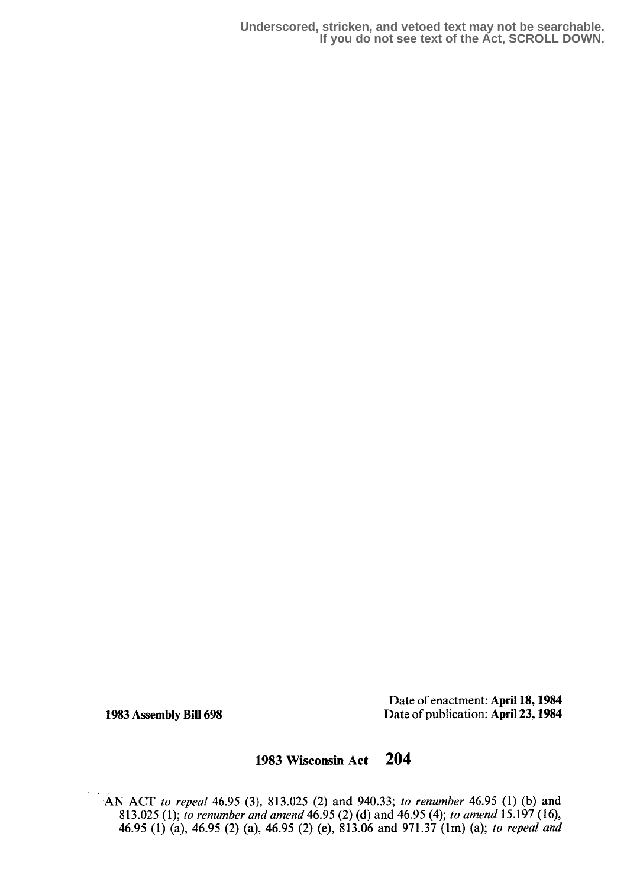**Underscored, stricken, and vetoed text may not be searchable. If you do not see text of the Act, SCROLL DOWN.**

Date of enactment: April 18,1984 1983 Assembly Bill 698 Date of publication: April 23, 1984

## 1983 Wisconsin Act 204

AN ACT to repeal 46.95 (3), 813.025 (2) and 940.33 ; to renumber 46.95 (1) (b) and 813.025 (1); to renumber and amend 46.95 (2) (d) and 46.95 (4); to amend 15.197 (16), 46.95 (1) (a), 46.95 (2) (a), 46.95 (2) (e), 813.06 and 971.37 (1m) (a); to repeal and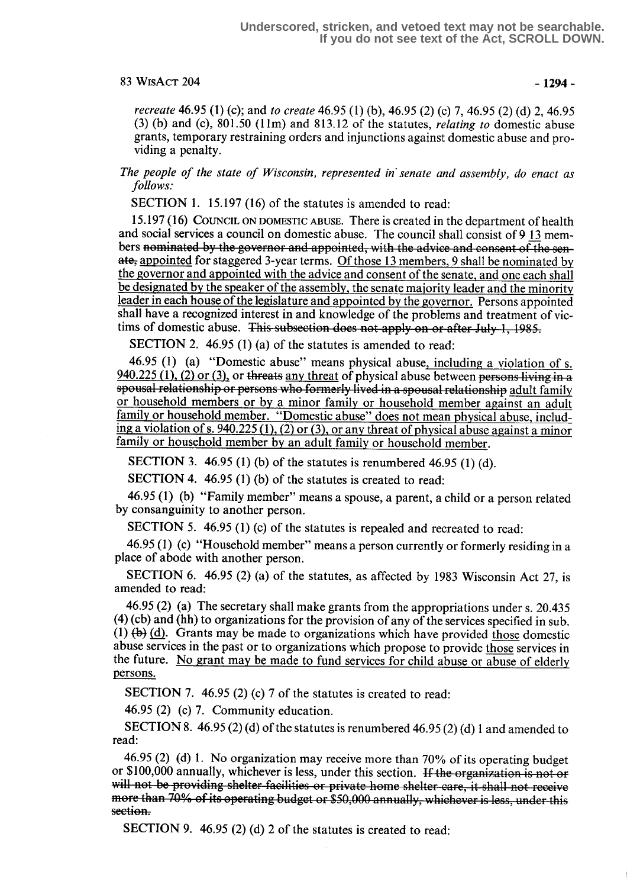### $83 WisAcr 204 -1294-$

recreate 46.95 (1) (c); and to create 46.95 (1) (b), 46.95 (2) (c) 7, 46.95 (2) (d) 2, 46 .95 (3) (b) and (c),  $801.50$  (11m) and  $813.12$  of the statutes, *relating to* domestic abuse grants, temporary restraining orders and injunctions against domestic abuse and providing a penalty.

The people of the state of Wisconsin, represented in'senate and assembly, do enact as follows:

SECTION 1. 15.197 (16) of the statutes is amended to read:

<sup>15</sup> .197 (16) COUNCIL ON DOMESTIC ABUSE. There is created in the department of health and social services a council on domestic abuse. The council shall consist of  $9\ 13$  members nominated by the governor and appointed, with the advice and consent of the senate, appointed for staggered 3-year terms. Of those 13 members, 9 shall be nominated by the governor and appointed with the advice and consent of the senate, and one each shall be designated by the speaker of the assembly, the senate majority leader and the minority leader in each house of the legislature and appointed by the governor. Persons appointed shall have a recognized interest in and knowledge of the problems and treatment of victims of domestic abuse. This subsection does not apply on or after July 1, 1985.

SECTION 2. 46.95 (1) (a) of the statutes is amended to read:

46.95 (1) (a) "Domestic abuse" means physical abuse, including a violation of s.  $940.225$  (1), (2) or (3), or threats any threat of physical abuse between persons living in a spousal relationship or persons who formerly lived in a spousal relationship adult family or household members or by a minor family or household member against an adult family or household member. "Domestic abuse" does not mean physical abuse, including a violation of s. 940.225 (1), (2) or (3), or any threat of physical abuse against a minor family or household member by an adult family or household member.

SECTION 3. 46.95 (1) (b) of the statutes is renumbered 46.95 (1) (d).

SECTION 4. 46.95 (1) (b) of the statutes is created to read:

46.95 (1) (b) "Family member" means a spouse, a parent, a child or a person related by consanguinity to another person.

SECTION 5. 46.95 (1) (c) of the statutes is repealed and recreated to read:

46.95 (1) (c) "Household member" means a person currently or formerly residing in a place of abode with another person.

SECTION 6. 46.95 (2) (a) of the statutes, as affected by 1983 Wisconsin Act 27, is amended to read:

46.95 (2) (a) The secretary shall make grants from the appropriations under s. 20.435 (4) (cb) and (hh) to organizations for the provision of any of the services specified in sub. (1)  $(b)$  (d). Grants may be made to organizations which have provided those domestic abuse services in the past or to organizations which propose to provide those services in the future. No grant may be made to fund services for child abuse or abuse of elderly persons.

SECTION 7. 46.95 (2) (c) 7 of the statutes is created to read:

46.95 (2) (c) 7. Community education.

SECTION 8. 46.95 (2) (d) of the statutes is renumbered 46.95 (2) (d) 1 and amended to read:

46.95 (2) (d) 1. No organization may receive more than  $70\%$  of its operating budget or \$100,000 annually, whichever is less, under this section. If the organization is not or will not be providing shelter facilities or private home shelter-care, it shall not receive nore than 70% of ns operating oudget of 350,000 annually, whichever is less, under this<br>ection section.

SECTION 9. 46.95 (2) (d) 2 of the statutes is created to read: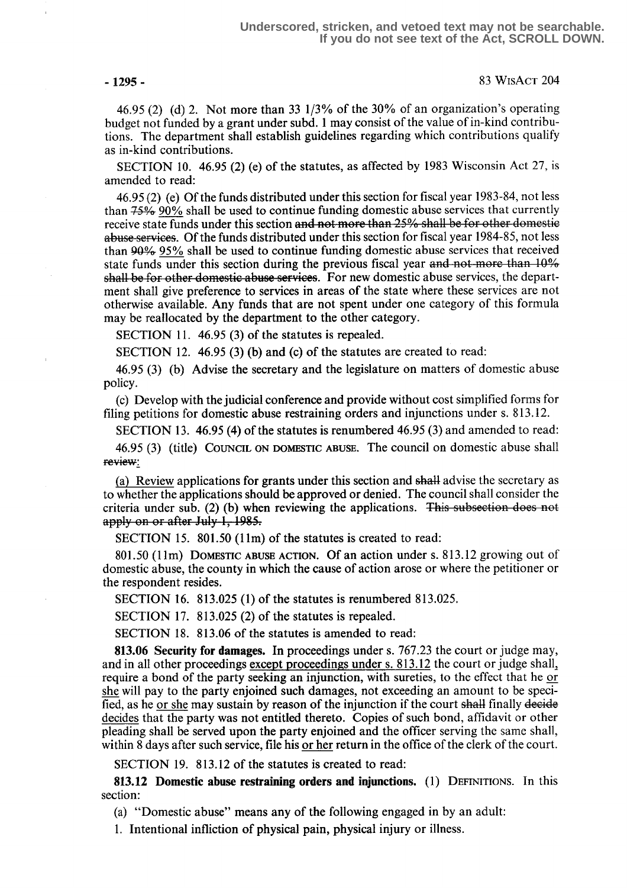-1295 - 83 WISACT 204

46.95 (2) (d) 2. Not more than 33 1/3% of the 30% of an organization's operating budget not funded by a grant under subd. 1 may consist of the value of in-kind contributions. The department shall establish guidelines regarding which contributions qualify as in-kind contributions.

SECTION 10. 46.95 (2) (e) of the statutes, as affected by 1983 Wisconsin Act 27, is amended to read:

46.95 (2) (e) Of the funds distributed under this section for fiscal year 1983-84, not less than  $75\%$  90% shall be used to continue funding domestic abuse services that currently receive state funds under this section and not more than  $25\%$  shall be for other domestic<br>receive state funds under this section and not more than  $25\%$  shall be for other domestic abuse services. Of the funds distributed under this section for fiscal year 1984-85, not less than 9A°4 95% shall be used to continue funding domestic abuse services that received state funds under this section during the previous fiscal year and not more than  $10\%$ 11.11.11.12.23.18 mind to use the section and not more than 25% shall be for other domesticabuse services. Of the funds distributed under this section for fiscal year 1984-85, not less than 90% 95% shall be used to continu ment shall give preference to services in areas of the state where these services are not otherwise available. Any fends that are not spent under one category of this formula may be reallocated by the department to the other category.

SECTION 11. 46.95 (3) of the statutes is repealed.

SECTION 12. 46.95 (3) (b) and (c) of the statutes are created to read:

46 .95 (3) (b) Advise the secretary and the legislature on matters of domestic abuse policy.

(c) Develop with the judicial conference and provide without cost simplified forms for filing petitions for domestic abuse restraining orders and injunctions under s. 813.12.

SECTION 13 . 46.95 (4) of the statutes is renumbered 46.95 (3) and amended to read:

46.95 (3) (title) COUNCIL ON DOMESTIC ABUSE. The council on domestic abuse shall review:

(a) Review applications for grants under this section and shall advise the secretary as to whether the applications should be approved or denied. The council shall consider the criteria under sub. (2) (b) when reviewing the applications. This subsection does not apply on or after July 1, 1985.

SECTION 15. 801.50 (11m) of the statutes is created to read:

801.50 (11m) DOMESTIC ABUSE ACTION. Of an action under s. 813.12 growing out of domestic abuse, the county in which the cause of action arose or where the petitioner or the respondent resides.

SECTION 16. 813.025 (1) of the statutes is renumbered 813.025.

SECTION 17. 813.025 (2) of the statutes is repealed.

SECTION 18. 813.06 of the statutes is amended to read:

813.06 Security for damages. In proceedings under s. 767.23 the court or judge may, and in all other proceedings except proceedings under s. 813.12 the court or judge shall, require a bond of the party seeking an injunction, with sureties, to the effect that he or she will pay to the party enjoined such damages, not exceeding an amount to be specified, as he or she may sustain by reason of the injunction if the court sha4l finally deeide decides that the party was not entitled thereto. Copies of such bond, affidavit or other pleading shall be served upon the party enjoined and the officer serving the same shall, within 8 days after such service, file his or her return in the office of the clerk of the court.

SECTION 19. 813.12 of the statutes is created to read:

813.12 Domestic abuse restraining orders and injunctions. (1) DEFINITIONS. In this section:

(a) "Domestic abuse" means any of the following engaged in by an adult:

1. Intentional infliction of physical pain, physical injury or illness.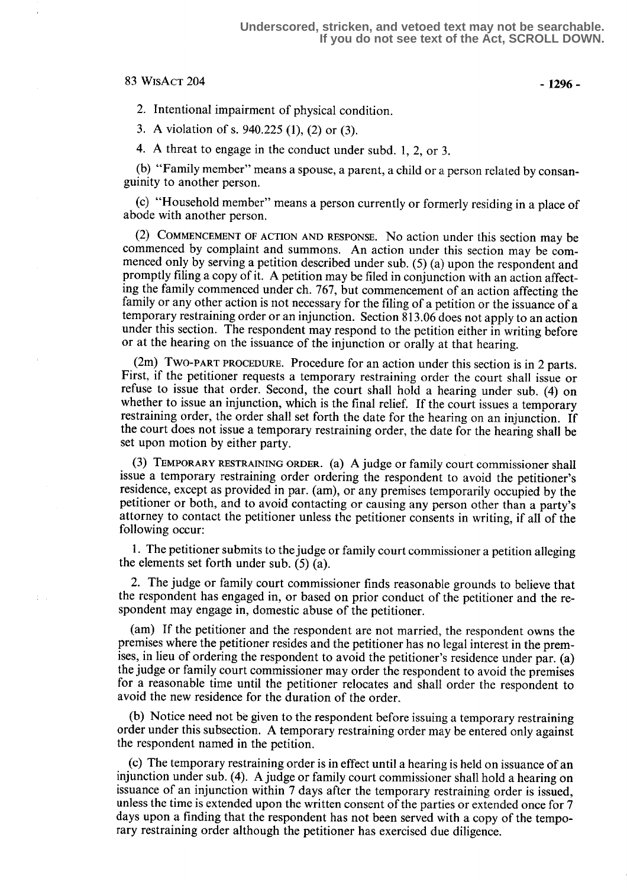### $83$  WisAct 204 - 1296 -

2. Intentional impairment of physical condition.

<sup>3</sup> . A violation of s. 940.225 (1), (2) or (3).

4. A threat to engage in the conduct under subd. 1, 2, or 3.

(b) "Family member" means a spouse, a parent, a child or a person related by consanguinity to another person .

(c) "Household member" means a person currently or formerly residing in a place of abode with another person.

(2) COMMENCEMENT OF ACTION AND RESPONSE. No action under this section may be commenced by complaint and summons. An action under this section may be commenced only by serving a petition described under sub. (5) (a) upon the respondent and promptly filing a copy of it . A petition may be filed in conjunction with an action affecting the family commenced under ch. 767, but commencement of an action affecting the family or any other action is not necessary for the filing of a petition or the issuance of a temporary restraining order or an injunction . Section 813 .06 does not apply to an action under this section. The respondent may respond to the petition either in writing before or at the hearing on the issuance of the injunction or orally at that hearing.

(2m) TWO-PART PROCEDURE. Procedure for an action under this section is in 2 parts. First, if the petitioner requests a temporary restraining order the court shall issue or refuse to issue that order. Second, the court shall hold a hearing under sub. (4) on whether to issue an injunction, which is the final relief. If the court issues a temporary restraining order, the order shall set forth the date for the hearing on an injunction. If the court does not issue a temporary restraining order, the date for the hearing shall be set upon motion by either party.

 $(3)$  TEMPORARY RESTRAINING ORDER. (a) A judge or family court commissioner shall issue a temporary restraining order ordering the respondent to avoid the petitioner's residence, except as provided in par. (am), or any premises temporarily occupied by the petitioner or both, and to avoid contacting or causing any person other than a party's attorney to contact the petitioner unless the petitioner consents in writing, if all of the following occur:

1. The petitioner submits to the judge or family court commissioner a petition alleging the elements set forth under sub. (5) (a).

2. The judge or family court commissioner finds reasonable grounds to believe that the respondent has engaged in, or based on prior conduct of the petitioner and the respondent may engage in, domestic abuse of the petitioner.

(am) If the petitioner and the respondent are not married, the respondent owns the premises where the petitioner resides and the petitioner has no legal interest in the premises, in lieu of ordering the respondent to avoid the petitioner's residence under par. (a) the judge or family court commissioner may order the respondent to avoid the premises for a reasonable time until the petitioner relocates and shall order the respondent to avoid the new residence for the duration of the order.

(b) Notice need not be given to the respondent before issuing a temporary restraining order under this subsection. A temporary restraining order may be entered only against the respondent named in the petition.

(c) The temporary restraining order is in effect until a hearing is held on issuance of an injunction under sub. (4). A judge or family court commissioner shall hold a hearing on issuance of an injunction within 7 days after the temporary restraining order is issued, unless the time is extended upon the written consent of the parties or extended once for 7 days upon a finding that the respondent has not been served with a copy of the temporary restraining order although the petitioner has exercised due diligence.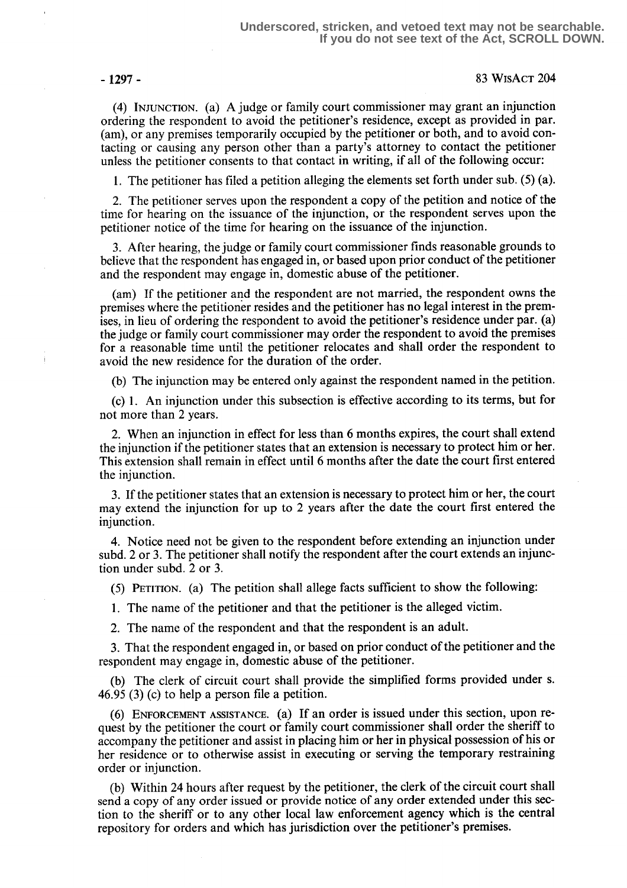- 1297- 83 WisAcT 204

(4) INJUNCTION. (a) A judge or family court commissioner may grant an injunction ordering the respondent to avoid the petitioner's residence, except as provided in par. (am), or any premises temporarily occupied by the petitioner or both, and to avoid contacting or causing any person other than a party's attorney to contact the petitioner unless the petitioner consents to that contact in writing, if all of the following occur:

1. The petitioner has filed a petition alleging the elements set forth under sub. (5) (a).

2. The petitioner serves upon the respondent a copy of the petition and notice of the time for hearing on the issuance of the injunction, or the respondent serves upon the petitioner notice of the time for hearing on the issuance of the injunction .

3. After hearing, the judge or family court commissioner finds reasonable grounds to believe that the respondent has engaged in, or based upon prior conduct of the petitioner and the respondent may engage in, domestic abuse of the petitioner .

(am) If the petitioner and the respondent are not married, the respondent owns the premises where the petitioner resides and the petitioner has no legal interest in the premises, in lieu of ordering the respondent to avoid the petitioner's residence under par. (a) the judge or family court commissioner may order the respondent to avoid the premises for a reasonable time until the petitioner relocates and shall order the respondent to avoid the new residence for the duration of the order.

(b) The injunction may be entered only against the respondent named in the petition .

(c) 1 . An injunction under this subsection is effective according to its terms, but for not more than 2 years.

2. When an injunction in effect for less than 6 months expires, the court shall extend the injunction if the petitioner states that an extension is necessary to protect him or her. This extension shall remain in effect until 6 months after the date the court first entered the injunction.

3. If the petitioner states that an extension is necessary to protect him or her, the court may extend the injunction for up to 2 years after the date the court first entered the injunction.

4. Notice need not be given to the respondent before extending an injunction under subd. 2 or 3. The petitioner shall notify the respondent after the court extends an injunction under subd. 2 or 3.

(5) PETITION. (a) The petition shall allege facts sufficient to show the following:

1. The name of the petitioner and that the petitioner is the alleged victim.

2. The name of the respondent and that the respondent is an adult.

3. That the respondent engaged in, or based on prior conduct of the petitioner and the respondent may engage in, domestic abuse of the petitioner.

(b) The clerk of circuit court shall provide the simplified forms provided under s. 46.95 (3) (c) to help a person file a petition.

(6) ENFORCEMENT ASSISTANCE. (a) If an order is issued under this section, upon request by the petitioner the court or family court commissioner shall order the sheriff to accompany the petitioner and assist in placing him or her in physical possession of his or her residence or to otherwise assist in executing or serving the temporary restraining order or injunction.

(b) Within 24 hours after request by the petitioner, the clerk of the circuit court shall send a copy of any order issued or provide notice of any order extended under this section to the sheriff or to any other local law enforcement agency which is the central repository for orders and which has jurisdiction over the petitioner's premises.